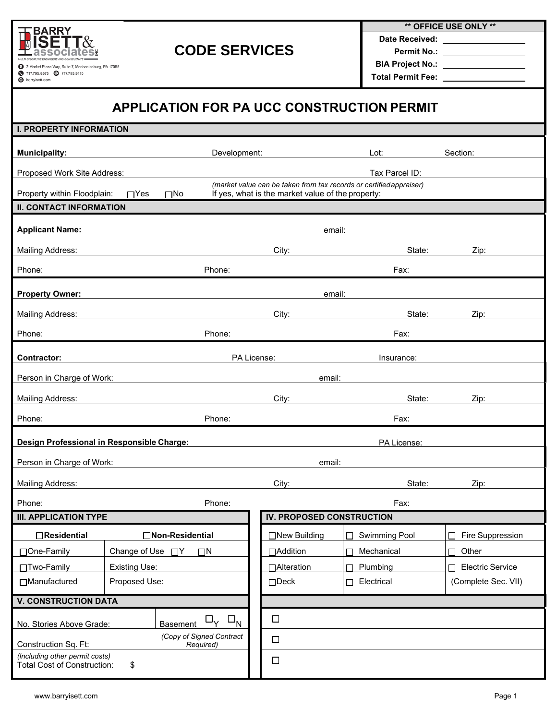

## **CODE SERVICES**

**\*\* OFFICE USE ONLY \*\***

**Date Received:** 

**Permit No.: BIA Project No.:** 

**Total Permit Fee:** 

## **APPLICATION FOR PA UCC CONSTRUCTION PERMIT**

| <b>I. PROPERTY INFORMATION</b>                                                                              |                                                                                                                      |        |                           |                           |                              |  |  |  |  |  |  |
|-------------------------------------------------------------------------------------------------------------|----------------------------------------------------------------------------------------------------------------------|--------|---------------------------|---------------------------|------------------------------|--|--|--|--|--|--|
| <b>Municipality:</b>                                                                                        | Development:                                                                                                         |        | Lot:                      |                           | Section:                     |  |  |  |  |  |  |
|                                                                                                             |                                                                                                                      |        |                           |                           |                              |  |  |  |  |  |  |
|                                                                                                             | Tax Parcel ID:<br>Proposed Work Site Address:<br>(market value can be taken from tax records or certified appraiser) |        |                           |                           |                              |  |  |  |  |  |  |
| Property within Floodplain:<br>If yes, what is the market value of the property:<br>$\Box$ Yes<br>$\Box$ No |                                                                                                                      |        |                           |                           |                              |  |  |  |  |  |  |
| <b>II. CONTACT INFORMATION</b>                                                                              |                                                                                                                      |        |                           |                           |                              |  |  |  |  |  |  |
| <b>Applicant Name:</b>                                                                                      |                                                                                                                      | email: |                           |                           |                              |  |  |  |  |  |  |
| <b>Mailing Address:</b>                                                                                     |                                                                                                                      |        | State:<br>City:           |                           | Zip:                         |  |  |  |  |  |  |
| Phone:                                                                                                      | Phone:                                                                                                               |        |                           | Fax:                      |                              |  |  |  |  |  |  |
| <b>Property Owner:</b>                                                                                      |                                                                                                                      | email: |                           |                           |                              |  |  |  |  |  |  |
| <b>Mailing Address:</b>                                                                                     |                                                                                                                      |        | City:<br>State:           |                           | Zip:                         |  |  |  |  |  |  |
| Phone:                                                                                                      | Phone:                                                                                                               |        |                           | Fax:                      |                              |  |  |  |  |  |  |
|                                                                                                             |                                                                                                                      |        |                           |                           |                              |  |  |  |  |  |  |
| <b>Contractor:</b>                                                                                          |                                                                                                                      |        | PA License:<br>Insurance: |                           |                              |  |  |  |  |  |  |
| Person in Charge of Work:                                                                                   |                                                                                                                      |        | email:                    |                           |                              |  |  |  |  |  |  |
| <b>Mailing Address:</b>                                                                                     |                                                                                                                      |        | City:                     | State:                    | Zip:                         |  |  |  |  |  |  |
| Phone:                                                                                                      | Phone:                                                                                                               |        |                           | Fax:                      |                              |  |  |  |  |  |  |
| Design Professional in Responsible Charge:                                                                  |                                                                                                                      |        | PA License:               |                           |                              |  |  |  |  |  |  |
| Person in Charge of Work:<br>email:                                                                         |                                                                                                                      |        |                           |                           |                              |  |  |  |  |  |  |
| <b>Mailing Address:</b>                                                                                     |                                                                                                                      |        | State:<br>City:           |                           | Zip:                         |  |  |  |  |  |  |
| Phone:                                                                                                      | Phone:                                                                                                               |        |                           | Fax:                      |                              |  |  |  |  |  |  |
| <b>III. APPLICATION TYPE</b>                                                                                |                                                                                                                      |        | IV. PROPOSED CONSTRUCTION |                           |                              |  |  |  |  |  |  |
| □Residential                                                                                                | □Non-Residential                                                                                                     |        | □New Building             | <b>Swimming Pool</b><br>П | Fire Suppression             |  |  |  |  |  |  |
| □One-Family                                                                                                 | Change of Use<br>$\square N$<br>$\Box$ Y                                                                             |        | □Addition                 | Mechanical                | Other<br>┌                   |  |  |  |  |  |  |
| □Two-Family                                                                                                 | <b>Existing Use:</b>                                                                                                 |        | □Alteration               | Plumbing                  | <b>Electric Service</b><br>Г |  |  |  |  |  |  |
| □Manufactured                                                                                               | Proposed Use:                                                                                                        |        | $\Box$ Deck               | Electrical<br>П           | (Complete Sec. VII)          |  |  |  |  |  |  |
| <b>V. CONSTRUCTION DATA</b>                                                                                 |                                                                                                                      |        |                           |                           |                              |  |  |  |  |  |  |
| $\Box_{\mathsf{Y}}$<br>N<br>Basement<br>No. Stories Above Grade:                                            |                                                                                                                      |        | $\Box$                    |                           |                              |  |  |  |  |  |  |
| (Copy of Signed Contract<br>Construction Sq. Ft:<br>Required)                                               |                                                                                                                      |        | $\Box$                    |                           |                              |  |  |  |  |  |  |
| (Including other permit costs)<br><b>Total Cost of Construction:</b><br>\$                                  |                                                                                                                      |        | $\Box$                    |                           |                              |  |  |  |  |  |  |